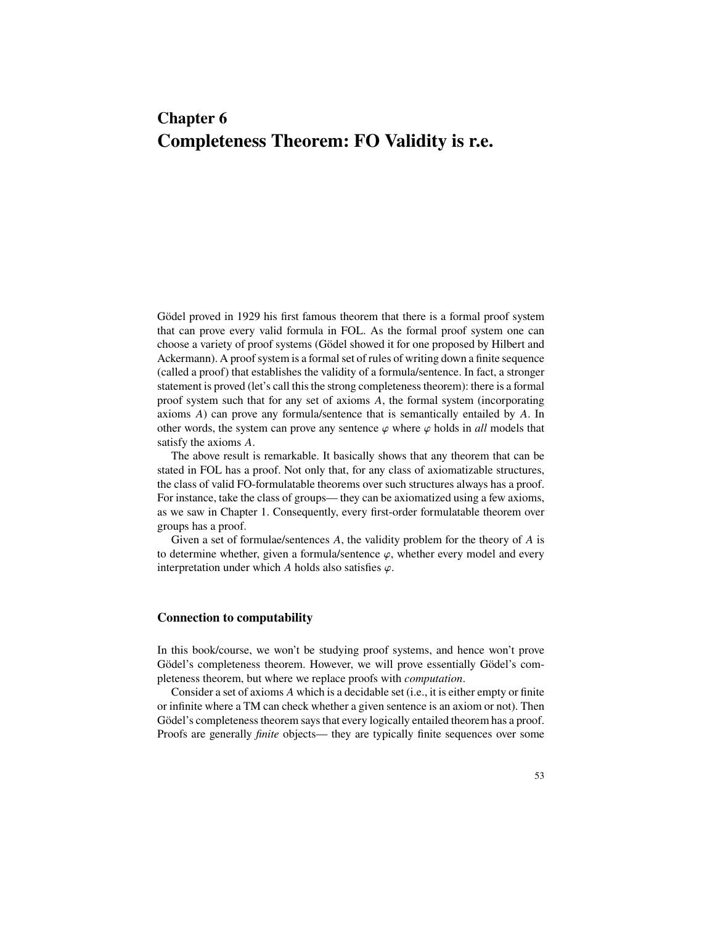# **Chapter 6 Completeness Theorem: FO Validity is r.e.**

Gödel proved in 1929 his first famous theorem that there is a formal proof system that can prove every valid formula in FOL. As the formal proof system one can choose a variety of proof systems (Gödel showed it for one proposed by Hilbert and Ackermann). A proof system is a formal set of rules of writing down a finite sequence (called a proof) that establishes the validity of a formula/sentence. In fact, a stronger statement is proved (let's call this the strong completeness theorem): there is a formal proof system such that for any set of axioms  $A$ , the formal system (incorporating axioms  $A$ ) can prove any formula/sentence that is semantically entailed by  $A$ . In other words, the system can prove any sentence  $\varphi$  where  $\varphi$  holds in *all* models that satisfy the axioms A.

The above result is remarkable. It basically shows that any theorem that can be stated in FOL has a proof. Not only that, for any class of axiomatizable structures, the class of valid FO-formulatable theorems over such structures always has a proof. For instance, take the class of groups— they can be axiomatized using a few axioms, as we saw in Chapter 1. Consequently, every first-order formulatable theorem over groups has a proof.

Given a set of formulae/sentences  $A$ , the validity problem for the theory of  $A$  is to determine whether, given a formula/sentence  $\varphi$ , whether every model and every interpretation under which A holds also satisfies  $\varphi$ .

## **Connection to computability**

In this book/course, we won't be studying proof systems, and hence won't prove Gödel's completeness theorem. However, we will prove essentially Gödel's completeness theorem, but where we replace proofs with *computation*.

Consider a set of axioms  $A$  which is a decidable set (i.e., it is either empty or finite or infinite where a TM can check whether a given sentence is an axiom or not). Then Gödel's completeness theorem says that every logically entailed theorem has a proof. Proofs are generally *finite* objects— they are typically finite sequences over some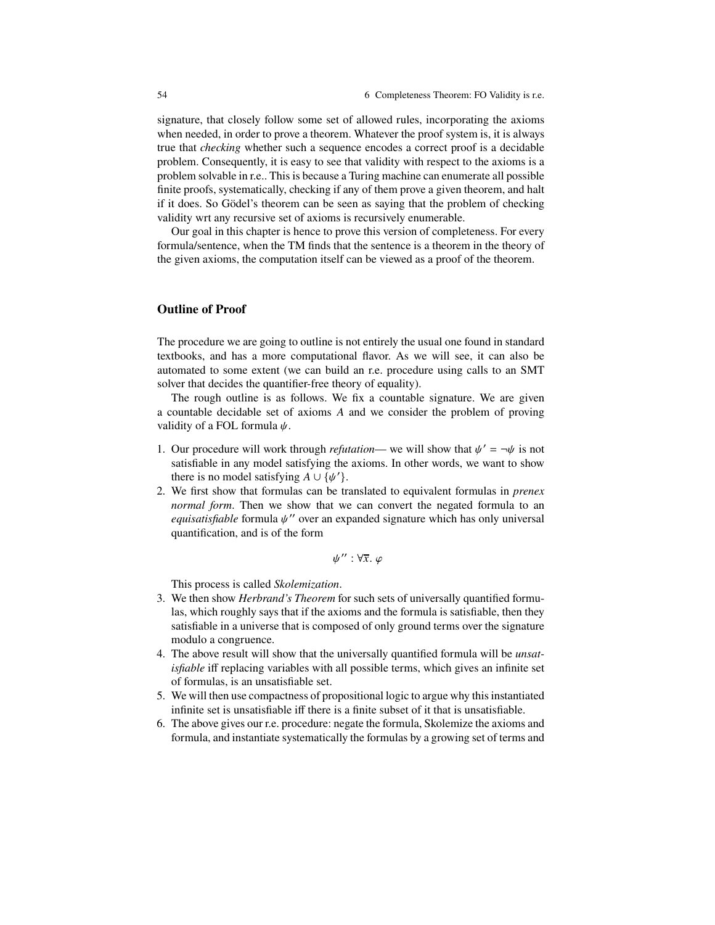signature, that closely follow some set of allowed rules, incorporating the axioms when needed, in order to prove a theorem. Whatever the proof system is, it is always true that *checking* whether such a sequence encodes a correct proof is a decidable problem. Consequently, it is easy to see that validity with respect to the axioms is a problem solvable in r.e.. This is because a Turing machine can enumerate all possible finite proofs, systematically, checking if any of them prove a given theorem, and halt if it does. So Gödel's theorem can be seen as saying that the problem of checking validity wrt any recursive set of axioms is recursively enumerable.

Our goal in this chapter is hence to prove this version of completeness. For every formula/sentence, when the TM finds that the sentence is a theorem in the theory of the given axioms, the computation itself can be viewed as a proof of the theorem.

## **Outline of Proof**

The procedure we are going to outline is not entirely the usual one found in standard textbooks, and has a more computational flavor. As we will see, it can also be automated to some extent (we can build an r.e. procedure using calls to an SMT solver that decides the quantifier-free theory of equality).

The rough outline is as follows. We fix a countable signature. We are given a countable decidable set of axioms  $A$  and we consider the problem of proving validity of a FOL formula  $\psi$ .

- 1. Our procedure will work through *refutation* we will show that  $\psi' = \neg \psi$  is not satisfiable in any model satisfying the axioms. In other words, we want to show there is no model satisfying  $A \cup {\psi'}$ .
- 2. We first show that formulas can be translated to equivalent formulas in *prenex normal form*. Then we show that we can convert the negated formula to an *equisatisfiable* formula  $\psi$ <sup>"</sup> over an expanded signature which has only universal quantification, and is of the form

$$
\psi'': \forall \overline{x}.\ \varphi
$$

This process is called *Skolemization*.

- 3. We then show *Herbrand's Theorem* for such sets of universally quantified formulas, which roughly says that if the axioms and the formula is satisfiable, then they satisfiable in a universe that is composed of only ground terms over the signature modulo a congruence.
- 4. The above result will show that the universally quantified formula will be *unsatisfiable* iff replacing variables with all possible terms, which gives an infinite set of formulas, is an unsatisfiable set.
- 5. We will then use compactness of propositional logic to argue why this instantiated infinite set is unsatisfiable iff there is a finite subset of it that is unsatisfiable.
- 6. The above gives our r.e. procedure: negate the formula, Skolemize the axioms and formula, and instantiate systematically the formulas by a growing set of terms and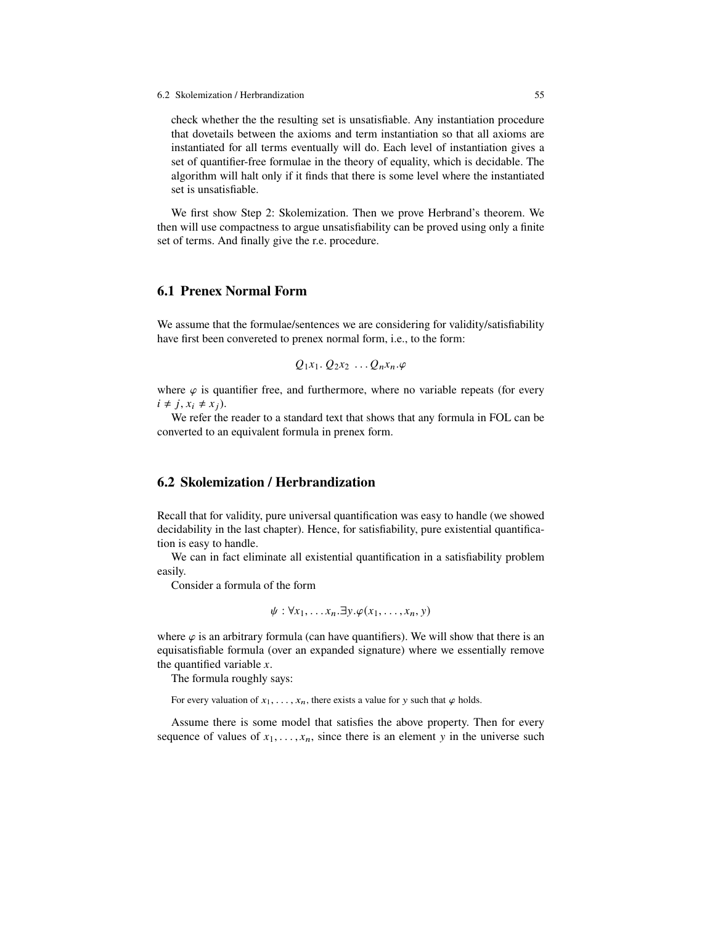check whether the the resulting set is unsatisfiable. Any instantiation procedure that dovetails between the axioms and term instantiation so that all axioms are instantiated for all terms eventually will do. Each level of instantiation gives a set of quantifier-free formulae in the theory of equality, which is decidable. The algorithm will halt only if it finds that there is some level where the instantiated set is unsatisfiable.

We first show Step 2: Skolemization. Then we prove Herbrand's theorem. We then will use compactness to argue unsatisfiability can be proved using only a finite set of terms. And finally give the r.e. procedure.

# **6.1 Prenex Normal Form**

We assume that the formulae/sentences we are considering for validity/satisfiability have first been convereted to prenex normal form, i.e., to the form:

$$
Q_1x_1 \ldots Q_2x_2 \ldots Q_nx_n \ldots \varphi
$$

where  $\varphi$  is quantifier free, and furthermore, where no variable repeats (for every  $i \neq j$ ,  $x_i \neq x_j$ ).

We refer the reader to a standard text that shows that any formula in FOL can be converted to an equivalent formula in prenex form.

# **6.2 Skolemization / Herbrandization**

Recall that for validity, pure universal quantification was easy to handle (we showed decidability in the last chapter). Hence, for satisfiability, pure existential quantification is easy to handle.

We can in fact eliminate all existential quantification in a satisfiability problem easily.

Consider a formula of the form

$$
\psi: \forall x_1, \ldots x_n. \exists y. \varphi(x_1, \ldots, x_n, y)
$$

where  $\varphi$  is an arbitrary formula (can have quantifiers). We will show that there is an equisatisfiable formula (over an expanded signature) where we essentially remove the quantified variable  $x$ .

The formula roughly says:

For every valuation of  $x_1, \ldots, x_n$ , there exists a value for y such that  $\varphi$  holds.

Assume there is some model that satisfies the above property. Then for every sequence of values of  $x_1, \ldots, x_n$ , since there is an element y in the universe such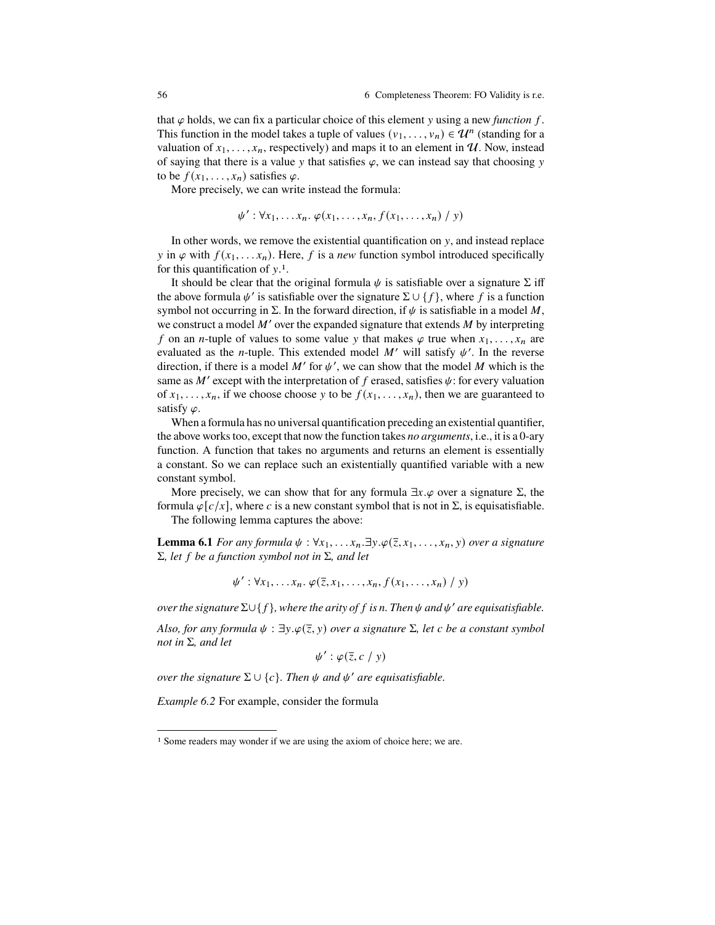that  $\varphi$  holds, we can fix a particular choice of this element y using a new *function* f. This function in the model takes a tuple of values  $(v_1, \ldots, v_n) \in \mathcal{U}^n$  (standing for a valuation of  $x_1, \ldots, x_n$ , respectively) and maps it to an element in  $\mathcal U$ . Now, instead of saying that there is a value y that satisfies  $\varphi$ , we can instead say that choosing y to be  $f(x_1, \ldots, x_n)$  satisfies  $\varphi$ .

More precisely, we can write instead the formula:

$$
\psi': \forall x_1, \ldots x_n. \varphi(x_1, \ldots, x_n, f(x_1, \ldots, x_n) / y)
$$

In other words, we remove the existential quantification on  $v$ , and instead replace y in  $\varphi$  with  $f(x_1,...,x_n)$ . Here, f is a *new* function symbol introduced specifically for this quantification of  $y<sup>1</sup>$ .

It should be clear that the original formula  $\psi$  is satisfiable over a signature  $\Sigma$  iff the above formula  $\psi'$  is satisfiable over the signature  $\Sigma \cup \{f\}$ , where f is a function symbol not occurring in  $\Sigma$ . In the forward direction, if  $\psi$  is satisfiable in a model M, we construct a model  $M'$  over the expanded signature that extends  $M$  by interpreting f on an *n*-tuple of values to some value y that makes  $\varphi$  true when  $x_1, \ldots, x_n$  are evaluated as the *n*-tuple. This extended model M' will satisfy  $\psi'$ . In the reverse direction, if there is a model M' for  $\psi'$ , we can show that the model M which is the same as  $M'$  except with the interpretation of f erased, satisfies  $\psi$ : for every valuation of  $x_1, \ldots, x_n$ , if we choose choose y to be  $f(x_1, \ldots, x_n)$ , then we are guaranteed to satisfy  $\varphi$ .

When a formula has no universal quantification preceding an existential quantifier, the above works too, except that now the function takes *no arguments*, i.e., it is a 0-ary function. A function that takes no arguments and returns an element is essentially a constant. So we can replace such an existentially quantified variable with a new constant symbol.

More precisely, we can show that for any formula  $\exists x.\varphi$  over a signature  $\Sigma$ , the formula  $\varphi[c/x]$ , where c is a new constant symbol that is not in  $\Sigma$ , is equisatisfiable.

The following lemma captures the above:

**Lemma 6.1** *For any formula*  $\psi$  :  $\forall x_1, \ldots, x_n$ .  $\exists y \ldotp \varphi(\overline{z}, x_1, \ldots, x_n, y)$  *over a signature*  $\Sigma$ *, let*  $f$  *be a function symbol not in*  $\Sigma$ *, and let* 

$$
\psi': \forall x_1, \ldots x_n. \varphi(\overline{z}, x_1, \ldots, x_n, f(x_1, \ldots, x_n) / y)
$$

*over the signature*  $\Sigma \cup \{f\}$ *, where the arity of f is n. Then*  $\psi$  *and*  $\psi'$  *are equisatisfiable.* 

*Also, for any formula*  $\psi$  :  $\exists y.\varphi(\overline{z}, y)$  *over a signature*  $\Sigma$ *, let c be a constant symbol not in*  $\Sigma$ *, and let* 

$$
\psi':\varphi(\overline{z},c/y)
$$

*over the signature*  $\Sigma \cup \{c\}$ *. Then*  $\psi$  *and*  $\psi'$  *are equisatisfiable.* 

*Example 6.2* For example, consider the formula

<sup>1</sup> Some readers may wonder if we are using the axiom of choice here; we are.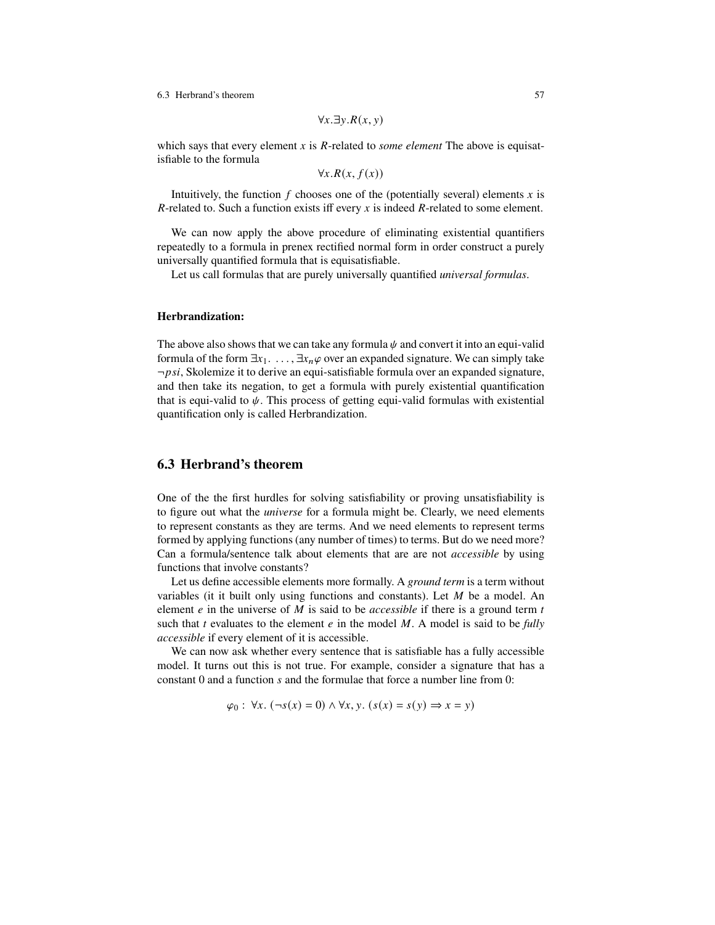6.3 Herbrand's theorem 57

$$
\forall x. \exists y. R(x, y)
$$

which says that every element x is  $R$ -related to *some element* The above is equisatisfiable to the formula

 $\forall x. R(x, f(x))$ 

Intuitively, the function f chooses one of the (potentially several) elements x is  $R$ -related to. Such a function exists iff every x is indeed  $R$ -related to some element.

We can now apply the above procedure of eliminating existential quantifiers repeatedly to a formula in prenex rectified normal form in order construct a purely universally quantified formula that is equisatisfiable.

Let us call formulas that are purely universally quantified *universal formulas*.

#### **Herbrandization:**

The above also shows that we can take any formula  $\psi$  and convert it into an equi-valid formula of the form  $\exists x_1, \ldots, \exists x_n \varphi$  over an expanded signature. We can simply take  $\neg psi$ , Skolemize it to derive an equi-satisfiable formula over an expanded signature, and then take its negation, to get a formula with purely existential quantification that is equi-valid to  $\psi$ . This process of getting equi-valid formulas with existential quantification only is called Herbrandization.

## **6.3 Herbrand's theorem**

One of the the first hurdles for solving satisfiability or proving unsatisfiability is to figure out what the *universe* for a formula might be. Clearly, we need elements to represent constants as they are terms. And we need elements to represent terms formed by applying functions (any number of times) to terms. But do we need more? Can a formula/sentence talk about elements that are are not *accessible* by using functions that involve constants?

Let us define accessible elements more formally. A *ground term* is a term without variables (it it built only using functions and constants). Let  $M$  be a model. An element  $e$  in the universe of  $M$  is said to be *accessible* if there is a ground term  $t$ such that  $t$  evaluates to the element  $e$  in the model  $M$ . A model is said to be *fully accessible* if every element of it is accessible.

We can now ask whether every sentence that is satisfiable has a fully accessible model. It turns out this is not true. For example, consider a signature that has a constant  $0$  and a function  $s$  and the formulae that force a number line from  $0$ :

 $\varphi_0$ :  $\forall x. (\neg s(x) = 0) \land \forall x, y. (s(x) = s(y) \Rightarrow x = y)$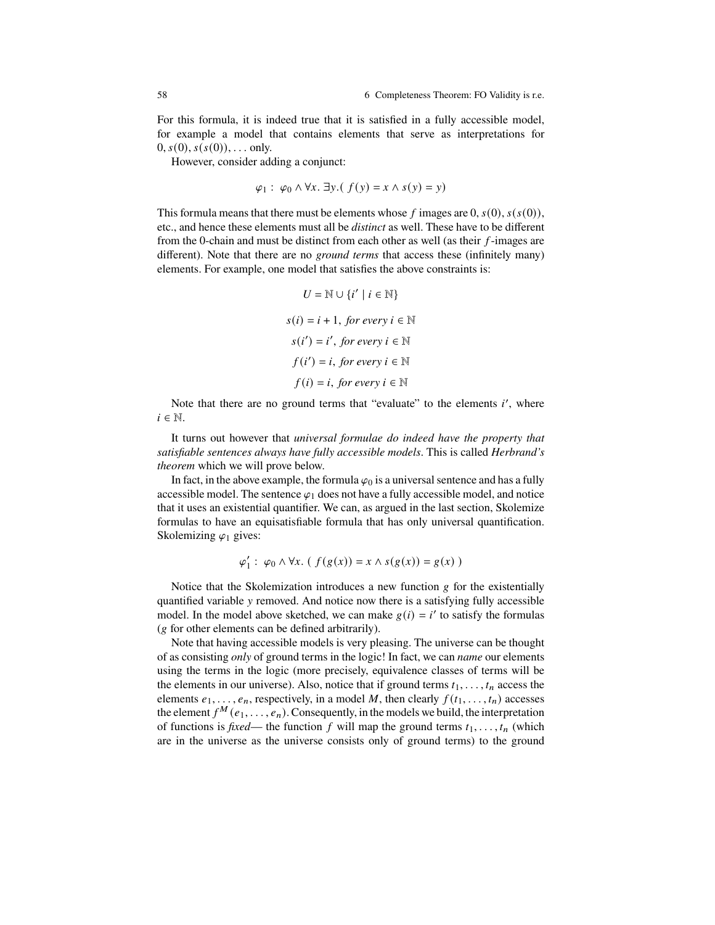For this formula, it is indeed true that it is satisfied in a fully accessible model, for example a model that contains elements that serve as interpretations for  $(0, s(0), s(s(0)), \ldots$  only.

However, consider adding a conjunct:

$$
\varphi_1: \varphi_0 \wedge \forall x. \exists y. (f(y) = x \wedge s(y) = y)
$$

This formula means that there must be elements whose f images are 0,  $s(0)$ ,  $s(s(0))$ , etc., and hence these elements must all be *distinct* as well. These have to be different from the 0-chain and must be distinct from each other as well (as their  $f$ -images are different). Note that there are no *ground terms* that access these (infinitely many) elements. For example, one model that satisfies the above constraints is:

$$
U = \mathbb{N} \cup \{i' \mid i \in \mathbb{N}\}
$$

$$
s(i) = i + 1, \text{ for every } i \in \mathbb{N}
$$

$$
s(i') = i', \text{ for every } i \in \mathbb{N}
$$

$$
f(i') = i, \text{ for every } i \in \mathbb{N}
$$

$$
f(i) = i, \text{ for every } i \in \mathbb{N}
$$

Note that there are no ground terms that "evaluate" to the elements  $i'$ , where  $i \in \mathbb{N}$ .

It turns out however that *universal formulae do indeed have the property that satisfiable sentences always have fully accessible models*. This is called *Herbrand's theorem* which we will prove below.

In fact, in the above example, the formula  $\varphi_0$  is a universal sentence and has a fully accessible model. The sentence  $\varphi_1$  does not have a fully accessible model, and notice that it uses an existential quantifier. We can, as argued in the last section, Skolemize formulas to have an equisatisfiable formula that has only universal quantification. Skolemizing  $\varphi_1$  gives:

$$
\varphi_1': \varphi_0 \wedge \forall x. (f(g(x)) = x \wedge s(g(x)) = g(x))
$$

Notice that the Skolemization introduces a new function  $g$  for the existentially quantified variable  $\nu$  removed. And notice now there is a satisfying fully accessible model. In the model above sketched, we can make  $g(i) = i'$  to satisfy the formulas  $(g$  for other elements can be defined arbitrarily).

Note that having accessible models is very pleasing. The universe can be thought of as consisting *only* of ground terms in the logic! In fact, we can *name* our elements using the terms in the logic (more precisely, equivalence classes of terms will be the elements in our universe). Also, notice that if ground terms  $t_1, \ldots, t_n$  access the elements  $e_1, \ldots, e_n$ , respectively, in a model M, then clearly  $f(t_1, \ldots, t_n)$  accesses the element  $f^M(e_1, \ldots, e_n)$ . Consequently, in the models we build, the interpretation of functions is *fixed*— the function f will map the ground terms  $t_1, \ldots, t_n$  (which are in the universe as the universe consists only of ground terms) to the ground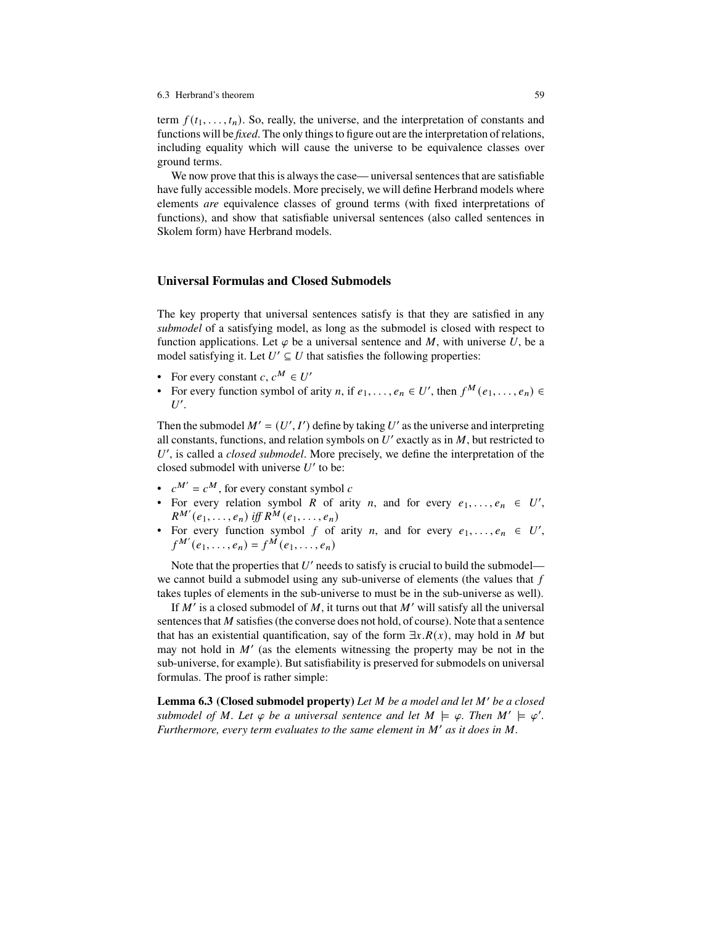#### 6.3 Herbrand's theorem 59

term  $f(t_1, \ldots, t_n)$ . So, really, the universe, and the interpretation of constants and functions will be *fixed*. The only things to figure out are the interpretation of relations, including equality which will cause the universe to be equivalence classes over ground terms.

We now prove that this is always the case— universal sentences that are satisfiable have fully accessible models. More precisely, we will define Herbrand models where elements *are* equivalence classes of ground terms (with fixed interpretations of functions), and show that satisfiable universal sentences (also called sentences in Skolem form) have Herbrand models.

## **Universal Formulas and Closed Submodels**

The key property that universal sentences satisfy is that they are satisfied in any *submodel* of a satisfying model, as long as the submodel is closed with respect to function applications. Let  $\varphi$  be a universal sentence and M, with universe U, be a model satisfying it. Let  $U' \subseteq U$  that satisfies the following properties:

- For every constant  $c, c^M \in U'$
- For every function symbol of arity *n*, if  $e_1, \ldots, e_n \in U'$ , then  $f^M(e_1, \ldots, e_n) \in$  $U'.$

Then the submodel  $M' = (U', I')$  define by taking U' as the universe and interpreting all constants, functions, and relation symbols on  $U'$  exactly as in  $M$ , but restricted to U', is called a *closed submodel*. More precisely, we define the interpretation of the closed submodel with universe  $U'$  to be:

- $\bullet$   $c^M = c^M$ , for every constant symbol c
- For every relation symbol R of arity n, and for every  $e_1, \ldots, e_n \in U'$ ,  $R^{M'}(e_1, \ldots, e_n)$  *iff*  $R^M(e_1, \ldots, e_n)$
- For every function symbol f of arity n, and for every  $e_1, \ldots, e_n \in U'$ ,  $f^{M'}(e_1, \ldots, e_n) = f^{M}(e_1, \ldots, e_n)$

Note that the properties that  $U'$  needs to satisfy is crucial to build the submodel we cannot build a submodel using any sub-universe of elements (the values that  $f$ takes tuples of elements in the sub-universe to must be in the sub-universe as well).

If  $M'$  is a closed submodel of  $M$ , it turns out that  $M'$  will satisfy all the universal sentences that  $M$  satisfies (the converse does not hold, of course). Note that a sentence that has an existential quantification, say of the form  $\exists x.R(x)$ , may hold in M but may not hold in  $M'$  (as the elements witnessing the property may be not in the sub-universe, for example). But satisfiability is preserved for submodels on universal formulas. The proof is rather simple:

**Lemma 6.3 (Closed submodel property)** Let M be a model and let M' be a closed submodel of M. Let  $\varphi$  be a universal sentence and let  $M \models \varphi$ . Then  $M' \models \varphi'$ . *Furthermore, every term evaluates to the same element in*  $M'$  *as it does in*  $M$ *.*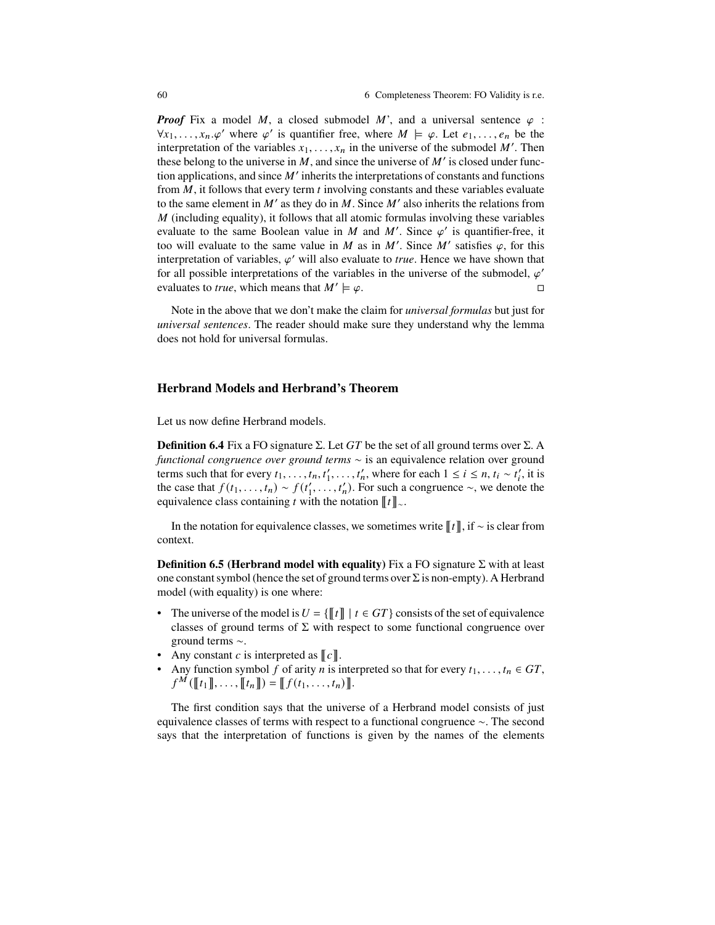*Proof* Fix a model M, a closed submodel M', and a universal sentence  $\varphi$  :  $\forall x_1, \ldots, x_n, \varphi'$  where  $\varphi'$  is quantifier free, where  $M \models \varphi$ . Let  $e_1, \ldots, e_n$  be the interpretation of the variables  $x_1, \ldots, x_n$  in the universe of the submodel M'. Then these belong to the universe in  $M$ , and since the universe of  $M'$  is closed under function applications, and since  $M'$  inherits the interpretations of constants and functions from  $M$ , it follows that every term  $t$  involving constants and these variables evaluate to the same element in  $M'$  as they do in  $M$ . Since  $M'$  also inherits the relations from  $M$  (including equality), it follows that all atomic formulas involving these variables evaluate to the same Boolean value in M and M'. Since  $\varphi'$  is quantifier-free, it too will evaluate to the same value in M as in M'. Since M' satisfies  $\varphi$ , for this interpretation of variables,  $\varphi'$  will also evaluate to *true*. Hence we have shown that for all possible interpretations of the variables in the universe of the submodel,  $\varphi'$ evaluates to *true*, which means that  $M' \models \varphi$ .

Note in the above that we don't make the claim for *universal formulas* but just for *universal sentences*. The reader should make sure they understand why the lemma does not hold for universal formulas.

### **Herbrand Models and Herbrand's Theorem**

Let us now define Herbrand models.

**Definition 6.4** Fix a FO signature  $\Sigma$ . Let GT be the set of all ground terms over  $\Sigma$ . A *functional congruence over ground terms*  $\sim$  is an equivalence relation over ground terms such that for every  $t_1, \ldots, t_n, t'_1, \ldots, t'_n$ , where for each  $1 \le i \le n, t_i \sim t'_i$ , it is the case that  $f(t_1, \ldots, t_n) \sim f(t'_1, \ldots, t'_n)$ . For such a congruence  $\sim$ , we denote the equivalence class containing t with the notation  $[[t]]_{\sim}$ .

In the notation for equivalence classes, we sometimes write  $\llbracket t \rrbracket$ , if  $\sim$  is clear from context.

**Definition 6.5 (Herbrand model with equality)** Fix a FO signature  $\Sigma$  with at least one constant symbol (hence the set of ground terms over  $\Sigma$  is non-empty). A Herbrand model (with equality) is one where:

- The universe of the model is  $U = \{\llbracket t \rrbracket \mid t \in GT\}$  consists of the set of equivalence classes of ground terms of  $\Sigma$  with respect to some functional congruence over ground terms  $\sim$ .
- Any constant c is interpreted as  $\llbracket c \rrbracket$ .
- Any function symbol f of arity n is interpreted so that for every  $t_1, \ldots, t_n \in GT$ ,  $f^M([\![t_1]\!], \ldots, [\![t_n]\!]) = [\![f(t_1, \ldots, t_n)]\!].$

The first condition says that the universe of a Herbrand model consists of just equivalence classes of terms with respect to a functional congruence  $\sim$ . The second says that the interpretation of functions is given by the names of the elements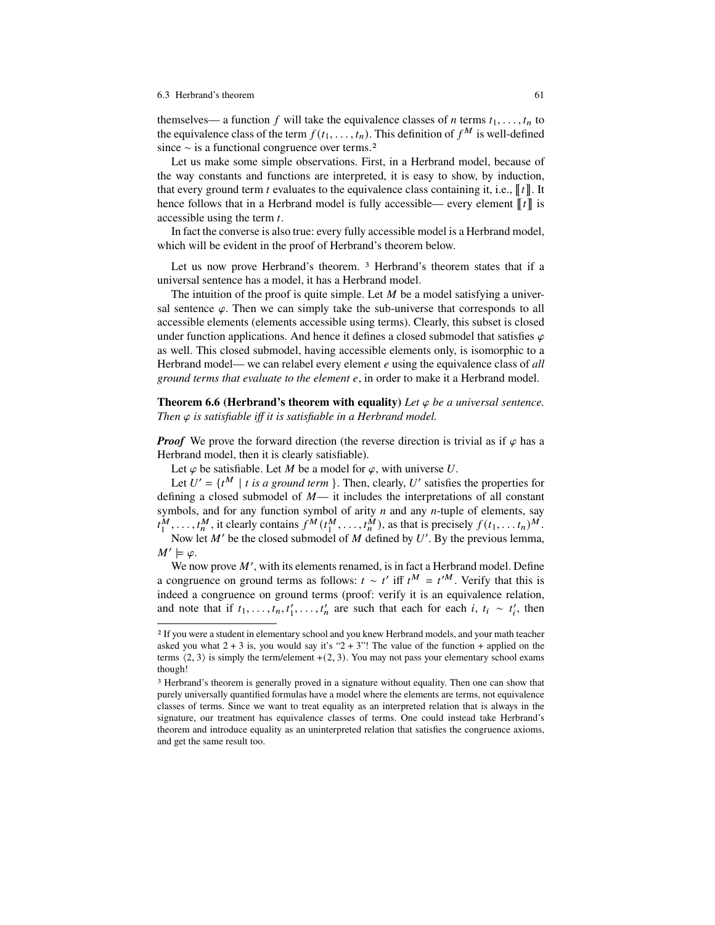#### 6.3 Herbrand's theorem 61

themselves— a function f will take the equivalence classes of n terms  $t_1, \ldots, t_n$  to the equivalence class of the term  $f(t_1, \ldots, t_n)$ . This definition of  $f^M$  is well-defined since  $\sim$  is a functional congruence over terms.<sup>2</sup>

Let us make some simple observations. First, in a Herbrand model, because of the way constants and functions are interpreted, it is easy to show, by induction, that every ground term t evaluates to the equivalence class containing it, i.e.,  $\llbracket t \rrbracket$ . It hence follows that in a Herbrand model is fully accessible— every element  $\llbracket t \rrbracket$  is accessible using the term  $t$ .

In fact the converse is also true: every fully accessible model is a Herbrand model, which will be evident in the proof of Herbrand's theorem below.

Let us now prove Herbrand's theorem. <sup>3</sup> Herbrand's theorem states that if a universal sentence has a model, it has a Herbrand model.

The intuition of the proof is quite simple. Let  $M$  be a model satisfying a universal sentence  $\varphi$ . Then we can simply take the sub-universe that corresponds to all accessible elements (elements accessible using terms). Clearly, this subset is closed under function applications. And hence it defines a closed submodel that satisfies  $\varphi$ as well. This closed submodel, having accessible elements only, is isomorphic to a Herbrand model— we can relabel every element *e* using the equivalence class of *all ground terms that evaluate to the element* 4, in order to make it a Herbrand model.

**Theorem 6.6 (Herbrand's theorem with equality)** Let  $\varphi$  be a universal sentence. *Then*  $\varphi$  *is satisfiable iff it is satisfiable in a Herbrand model.* 

*Proof* We prove the forward direction (the reverse direction is trivial as if  $\varphi$  has a Herbrand model, then it is clearly satisfiable).

Let  $\varphi$  be satisfiable. Let M be a model for  $\varphi$ , with universe U.

Let  $U' = \{t^M | t \text{ is a ground term } \}$ . Then, clearly, U' satisfies the properties for defining a closed submodel of  $M$ — it includes the interpretations of all constant symbols, and for any function symbol of arity  $n$  and any  $n$ -tuple of elements, say  $t_1^M, \ldots, t_n^M$ , it clearly contains  $f^M(t_1^M, \ldots, t_n^M)$ , as that is precisely  $f(t_1, \ldots, t_n)^M$ . Now let  $M'$  be the closed submodel of  $M$  defined by  $U'$ . By the previous lemma,

 $M' \models \varphi$ .

We now prove  $M'$ , with its elements renamed, is in fact a Herbrand model. Define a congruence on ground terms as follows:  $t \sim t'$  iff  $t^M = t'^M$ . Verify that this is indeed a congruence on ground terms (proof: verify it is an equivalence relation, and note that if  $t_1, \ldots, t_n, t'_1, \ldots, t'_n$  are such that each for each  $i, t_i \sim t'_i$ , then

<sup>2</sup> If you were a student in elementary school and you knew Herbrand models, and your math teacher asked you what  $2 + 3$  is, you would say it's " $2 + 3$ "! The value of the function + applied on the terms  $\langle 2, 3 \rangle$  is simply the term/element +(2, 3). You may not pass your elementary school exams though!

<sup>&</sup>lt;sup>3</sup> Herbrand's theorem is generally proved in a signature without equality. Then one can show that purely universally quantified formulas have a model where the elements are terms, not equivalence classes of terms. Since we want to treat equality as an interpreted relation that is always in the signature, our treatment has equivalence classes of terms. One could instead take Herbrand's theorem and introduce equality as an uninterpreted relation that satisfies the congruence axioms, and get the same result too.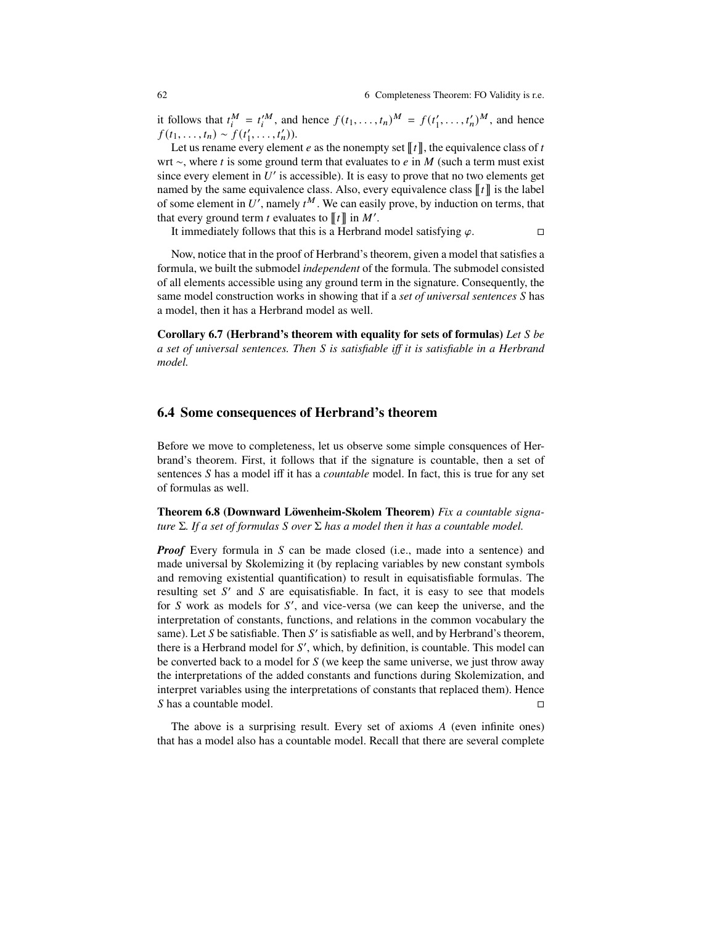it follows that  $t_i^M = t_i^M$ , and hence  $f(t_1, \ldots, t_n)^M = f(t_1', \ldots, t_n')^M$ , and hence  $f(t_1, ..., t_n) \sim f(t'_1, ..., t'_n)$ .

Let us rename every element e as the nonempty set  $\llbracket t \rrbracket$ , the equivalence class of t wrt  $\sim$ , where t is some ground term that evaluates to e in M (such a term must exist since every element in  $U'$  is accessible). It is easy to prove that no two elements get named by the same equivalence class. Also, every equivalence class  $[[t]]$  is the label of some element in U', namely  $t^M$ . We can easily prove, by induction on terms, that that every ground term *t* evaluates to  $[[t]]$  in  $M'$ .

It immediately follows that this is a Herbrand model satisfying  $\varphi$ .

Now, notice that in the proof of Herbrand's theorem, given a model that satisfies a formula, we built the submodel *independent* of the formula. The submodel consisted of all elements accessible using any ground term in the signature. Consequently, the same model construction works in showing that if a *set of universal sentences* S has a model, then it has a Herbrand model as well.

**Corollary 6.7 (Herbrand's theorem with equality for sets of formulas)** *Let* ( *be a set of universal sentences. Then* ( *is satisfiable i it is satisfiable in a Herbrand model.*

## **6.4 Some consequences of Herbrand's theorem**

Before we move to completeness, let us observe some simple consquences of Herbrand's theorem. First, it follows that if the signature is countable, then a set of sentences S has a model iff it has a *countable* model. In fact, this is true for any set of formulas as well.

**Theorem 6.8 (Downward Löwenheim-Skolem Theorem)** *Fix a countable signature*  $\Sigma$ *. If a set of formulas*  $S$  *over*  $\Sigma$  *has a model then it has a countable model.* 

*Proof* Every formula in S can be made closed (i.e., made into a sentence) and made universal by Skolemizing it (by replacing variables by new constant symbols and removing existential quantification) to result in equisatisfiable formulas. The resulting set  $S'$  and  $S$  are equisatisfiable. In fact, it is easy to see that models for  $S$  work as models for  $S'$ , and vice-versa (we can keep the universe, and the interpretation of constants, functions, and relations in the common vocabulary the same). Let  $S$  be satisfiable. Then  $S'$  is satisfiable as well, and by Herbrand's theorem, there is a Herbrand model for  $S'$ , which, by definition, is countable. This model can be converted back to a model for  $S$  (we keep the same universe, we just throw away the interpretations of the added constants and functions during Skolemization, and interpret variables using the interpretations of constants that replaced them). Hence S has a countable model.  $\Box$ 

The above is a surprising result. Every set of axioms  $A$  (even infinite ones) that has a model also has a countable model. Recall that there are several complete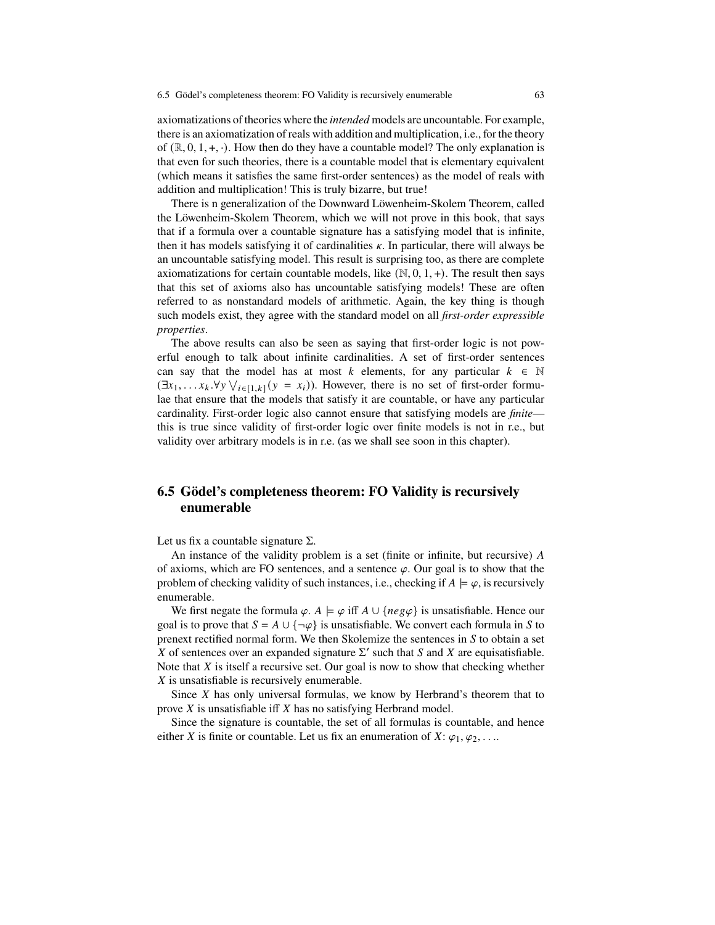axiomatizations of theories where the *intended* models are uncountable. For example, there is an axiomatization of reals with addition and multiplication, i.e., for the theory of  $(\mathbb{R}, 0, 1, +, \cdot)$ . How then do they have a countable model? The only explanation is that even for such theories, there is a countable model that is elementary equivalent (which means it satisfies the same first-order sentences) as the model of reals with addition and multiplication! This is truly bizarre, but true!

There is n generalization of the Downward Löwenheim-Skolem Theorem, called the Löwenheim-Skolem Theorem, which we will not prove in this book, that says that if a formula over a countable signature has a satisfying model that is infinite, then it has models satisfying it of cardinalities  $\kappa$ . In particular, there will always be an uncountable satisfying model. This result is surprising too, as there are complete axiomatizations for certain countable models, like  $(N, 0, 1, +)$ . The result then says that this set of axioms also has uncountable satisfying models! These are often referred to as nonstandard models of arithmetic. Again, the key thing is though such models exist, they agree with the standard model on all *first-order expressible properties*.

The above results can also be seen as saying that first-order logic is not powerful enough to talk about infinite cardinalities. A set of first-order sentences can say that the model has at most k elements, for any particular  $k \in \mathbb{N}$  $(\exists x_1, \ldots, x_k. \forall y \vee_{i \in [1,k]} (y = x_i))$ . However, there is no set of first-order formulae that ensure that the models that satisfy it are countable, or have any particular cardinality. First-order logic also cannot ensure that satisfying models are *finite* this is true since validity of first-order logic over finite models is not in r.e., but validity over arbitrary models is in r.e. (as we shall see soon in this chapter).

# **6.5 Gödel's completeness theorem: FO Validity is recursively enumerable**

Let us fix a countable signature  $\Sigma$ .

An instance of the validity problem is a set (finite or infinite, but recursive) A of axioms, which are FO sentences, and a sentence  $\varphi$ . Our goal is to show that the problem of checking validity of such instances, i.e., checking if  $A \models \varphi$ , is recursively enumerable.

We first negate the formula  $\varphi$ .  $A \models \varphi$  iff  $A \cup \{neg \varphi\}$  is unsatisfiable. Hence our goal is to prove that  $S = A \cup {\neg \varphi}$  is unsatisfiable. We convert each formula in S to prenext rectified normal form. We then Skolemize the sentences in  $S$  to obtain a set X of sentences over an expanded signature  $\Sigma'$  such that S and X are equisatisfiable. Note that  $X$  is itself a recursive set. Our goal is now to show that checking whether  $X$  is unsatisfiable is recursively enumerable.

Since  $X$  has only universal formulas, we know by Herbrand's theorem that to prove  $X$  is unsatisfiable iff  $X$  has no satisfying Herbrand model.

Since the signature is countable, the set of all formulas is countable, and hence either X is finite or countable. Let us fix an enumeration of  $X: \varphi_1, \varphi_2, \ldots$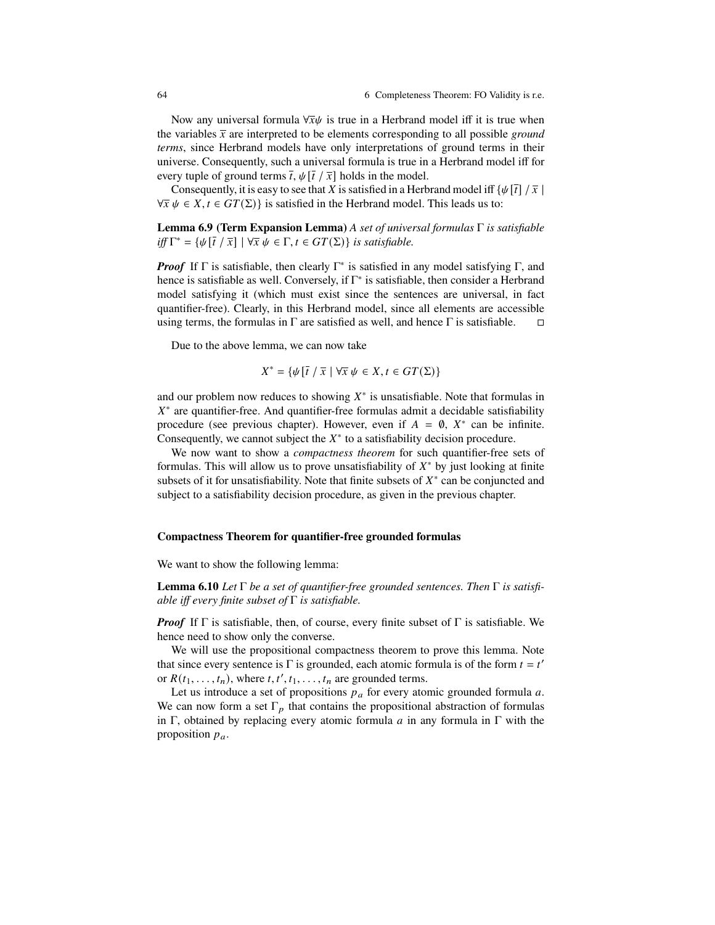Now any universal formula  $\forall \bar{x} \psi$  is true in a Herbrand model iff it is true when the variables  $\bar{x}$  are interpreted to be elements corresponding to all possible *ground terms*, since Herbrand models have only interpretations of ground terms in their universe. Consequently, such a universal formula is true in a Herbrand model iff for every tuple of ground terms  $\overline{t}$ ,  $\psi[\overline{t}/\overline{x}]$  holds in the model.

Consequently, it is easy to see that X is satisfied in a Herbrand model iff  $\{\psi[\bar{t}] / \bar{x} \}$  $\forall \bar{x} \psi \in X, t \in GT(\Sigma)$  is satisfied in the Herbrand model. This leads us to:

**Lemma 6.9 (Term Expansion Lemma)** *A set of universal formulas is satisfiable iff*  $\Gamma^* = \{ \psi[\overline{t} / \overline{x}] \mid \forall \overline{x} \ \psi \in \Gamma, t \in GT(\Sigma) \}$  *is satisfiable.* 

*Proof* If  $\Gamma$  is satisfiable, then clearly  $\Gamma^*$  is satisfied in any model satisfying  $\Gamma$ , and hence is satisfiable as well. Conversely, if  $\Gamma^*$  is satisfiable, then consider a Herbrand model satisfying it (which must exist since the sentences are universal, in fact quantifier-free). Clearly, in this Herbrand model, since all elements are accessible using terms, the formulas in  $\Gamma$  are satisfied as well, and hence  $\Gamma$  is satisfiable.  $\Box$ 

Due to the above lemma, we can now take

$$
X^* = \{ \psi \left[ \overline{t} / \overline{x} \mid \forall \overline{x} \ \psi \in X, t \in GT(\Sigma) \}
$$

and our problem now reduces to showing  $X^*$  is unsatisfiable. Note that formulas in  $X^*$  are quantifier-free. And quantifier-free formulas admit a decidable satisfiability procedure (see previous chapter). However, even if  $A = \emptyset$ ,  $X^*$  can be infinite. Consequently, we cannot subject the  $X^*$  to a satisfiability decision procedure.

We now want to show a *compactness theorem* for such quantifier-free sets of formulas. This will allow us to prove unsatisfiability of  $X^*$  by just looking at finite subsets of it for unsatisfiability. Note that finite subsets of  $X^*$  can be conjuncted and subject to a satisfiability decision procedure, as given in the previous chapter.

#### **Compactness Theorem for quantifier-free grounded formulas**

We want to show the following lemma:

**Lemma 6.10** *Let*  $\Gamma$  *be a set of quantifier-free grounded sentences. Then*  $\Gamma$  *is satisfiable iff every finite subset of*  $\Gamma$  *is satisfiable.* 

*Proof* If  $\Gamma$  is satisfiable, then, of course, every finite subset of  $\Gamma$  is satisfiable. We hence need to show only the converse.

We will use the propositional compactness theorem to prove this lemma. Note that since every sentence is  $\Gamma$  is grounded, each atomic formula is of the form  $t = t'$ or  $R(t_1, \ldots, t_n)$ , where  $t, t', t_1, \ldots, t_n$  are grounded terms.

Let us introduce a set of propositions  $p_a$  for every atomic grounded formula a. We can now form a set  $\Gamma_p$  that contains the propositional abstraction of formulas in  $\Gamma$ , obtained by replacing every atomic formula a in any formula in  $\Gamma$  with the proposition  $p_a$ .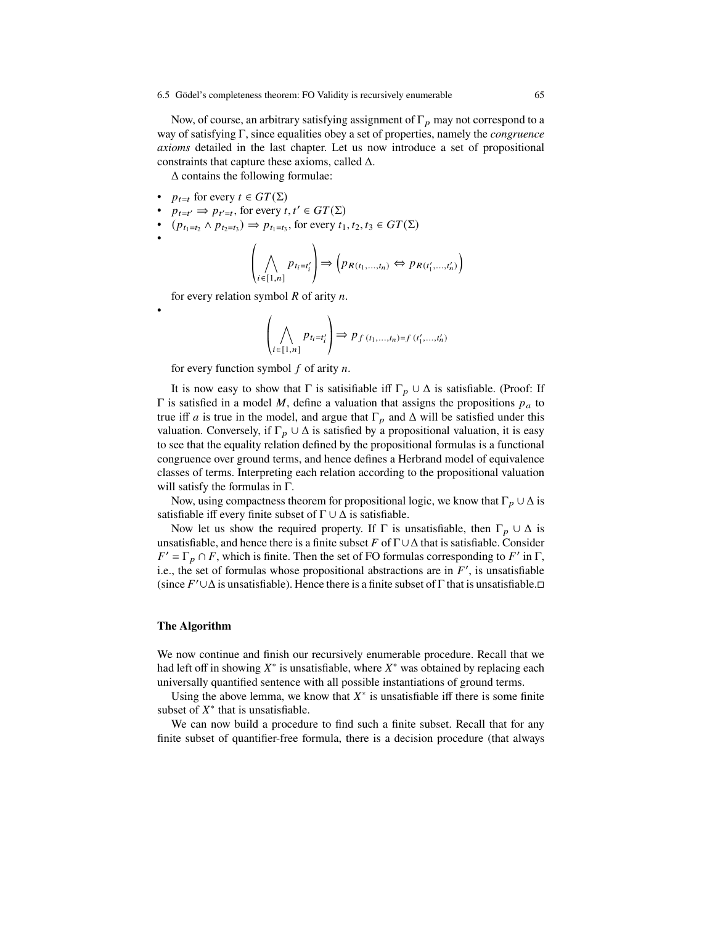Now, of course, an arbitrary satisfying assignment of  $\Gamma_p$  may not correspond to a way of satisfying  $\Gamma$ , since equalities obey a set of properties, namely the *congruence axioms* detailed in the last chapter. Let us now introduce a set of propositional constraints that capture these axioms, called  $\Delta$ .

 $\Delta$  contains the following formulae:

•  $p_{t=t}$  for every  $t \in GT(\Sigma)$ 

•

•

- $p_{t=t'} \Rightarrow p_{t'=t}$ , for every  $t, t' \in GT(\Sigma)$
- $(p_{t_1=t_2} \wedge p_{t_2=t_3}) \Rightarrow p_{t_1=t_3}$ , for every  $t_1, t_2, t_3 \in GT(\Sigma)$

$$
\left(\bigwedge_{i \in [1,n]} p_{t_i = t'_i}\right) \Longrightarrow \left(p_{R(t_1,...,t_n)} \Leftrightarrow p_{R(t'_1,...,t'_n)}\right)
$$

for every relation symbol  $R$  of arity  $n$ .

$$
\left(\bigwedge_{i \in [1,n]} p_{t_i = t'_i}\right) \Rightarrow p_{f(t_1,...,t_n) = f(t'_1,...,t'_n)}
$$

for every function symbol  $f$  of arity  $n$ .

It is now easy to show that  $\Gamma$  is satisfiable iff  $\Gamma_p \cup \Delta$  is satisfiable. (Proof: If  $\Gamma$  is satisfied in a model M, define a valuation that assigns the propositions  $p_a$  to true iff *a* is true in the model, and argue that  $\Gamma_p$  and  $\Delta$  will be satisfied under this valuation. Conversely, if  $\Gamma_n \cup \Delta$  is satisfied by a propositional valuation, it is easy to see that the equality relation defined by the propositional formulas is a functional congruence over ground terms, and hence defines a Herbrand model of equivalence classes of terms. Interpreting each relation according to the propositional valuation will satisfy the formulas in  $\Gamma$ .

Now, using compactness theorem for propositional logic, we know that  $\Gamma_p \cup \Delta$  is satisfiable iff every finite subset of  $\Gamma \cup \Delta$  is satisfiable.

Now let us show the required property. If  $\Gamma$  is unsatisfiable, then  $\Gamma_p \cup \Delta$  is unsatisfiable, and hence there is a finite subset F of  $\Gamma \cup \Delta$  that is satisfiable. Consider  $F' = \Gamma_p \cap F$ , which is finite. Then the set of FO formulas corresponding to F' in  $\Gamma$ , i.e., the set of formulas whose propositional abstractions are in  $F'$ , is unsatisfiable (since  $F' \cup \Delta$  is unsatisfiable). Hence there is a finite subset of  $\Gamma$  that is unsatisfiable. $\Box$ 

### **The Algorithm**

We now continue and finish our recursively enumerable procedure. Recall that we had left off in showing  $X^*$  is unsatisfiable, where  $X^*$  was obtained by replacing each universally quantified sentence with all possible instantiations of ground terms.

Using the above lemma, we know that  $X^*$  is unsatisfiable iff there is some finite subset of  $X^*$  that is unsatisfiable.

We can now build a procedure to find such a finite subset. Recall that for any finite subset of quantifier-free formula, there is a decision procedure (that always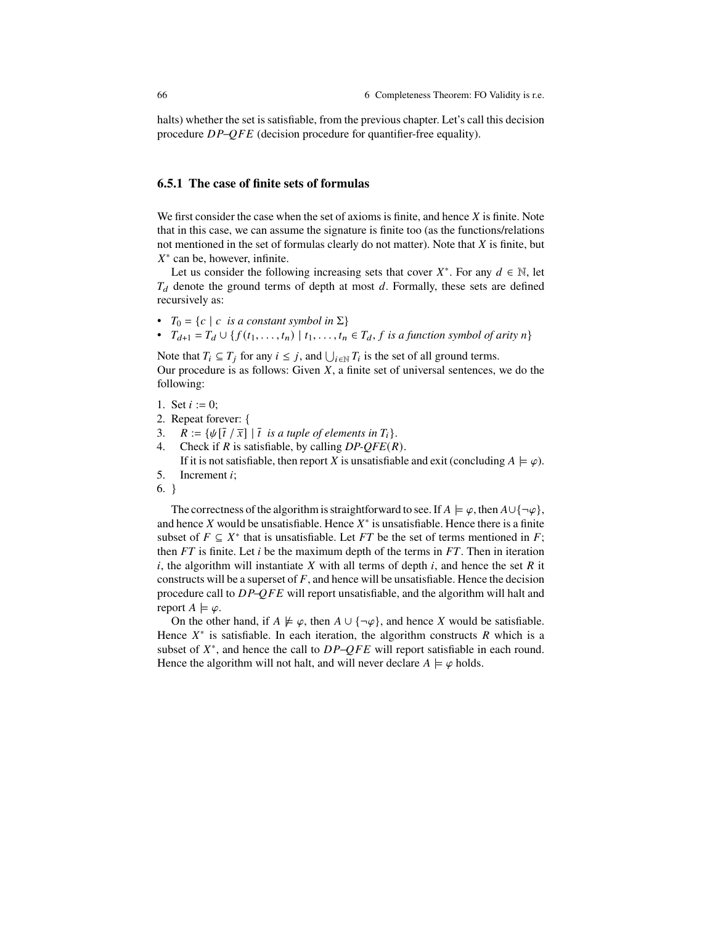halts) whether the set is satisfiable, from the previous chapter. Let's call this decision procedure  $DP-QFE$  (decision procedure for quantifier-free equality).

## **6.5.1 The case of finite sets of formulas**

We first consider the case when the set of axioms is finite, and hence  $X$  is finite. Note that in this case, we can assume the signature is finite too (as the functions/relations not mentioned in the set of formulas clearly do not matter). Note that  $X$  is finite, but  $X^*$  can be, however, infinite.

Let us consider the following increasing sets that cover  $X^*$ . For any  $d \in \mathbb{N}$ , let  $T_d$  denote the ground terms of depth at most d. Formally, these sets are defined recursively as:

- $T_0 = \{c \mid c \text{ is a constant symbol in } \Sigma\}$
- $T_{d+1} = T_d \cup \{ f(t_1,\ldots,t_n) \mid t_1,\ldots,t_n \in T_d, f \text{ is a function symbol of arity } n \}$

Note that  $T_i \subseteq T_j$  for any  $i \leq j$ , and  $\bigcup_{i \in \mathbb{N}} T_i$  is the set of all ground terms. Our procedure is as follows: Given  $X$ , a finite set of universal sentences, we do the following:

- 1. Set  $i := 0$ ;
- 2. Repeat forever: {<br>3.  $R := \{ \psi | \overline{t} / \overline{x} \}$
- 3.  $R := {\psi[\bar{t}/\bar{x}] | \bar{t} \text{ is a tuple of elements in } T_i}.$ <br>4 Check if R is satisfiable by calling *DP-OFF(R*
- Check if  $R$  is satisfiable, by calling  $DP\text{-}OFE(R)$ . If it is not satisfiable, then report X is unsatisfiable and exit (concluding  $A \models \varphi$ ).
- 5. Increment  $i$ ;
- 6. }

The correctness of the algorithm is straightforward to see. If  $A \models \varphi$ , then  $A \cup {\neg \varphi}$ , and hence X would be unsatisfiable. Hence  $X^*$  is unsatisfiable. Hence there is a finite subset of  $F \subseteq X^*$  that is unsatisfiable. Let FT be the set of terms mentioned in F; then  $FT$  is finite. Let i be the maximum depth of the terms in  $FT$ . Then in iteration  $i$ , the algorithm will instantiate  $X$  with all terms of depth  $i$ , and hence the set  $R$  it constructs will be a superset of  $F$ , and hence will be unsatisfiable. Hence the decision procedure call to  $DP-QFE$  will report unsatisfiable, and the algorithm will halt and report  $A \models \varphi$ .

On the other hand, if  $A \not\models \varphi$ , then  $A \cup {\neg \varphi}$ , and hence X would be satisfiable. Hence  $X^*$  is satisfiable. In each iteration, the algorithm constructs  $R$  which is a subset of  $X^*$ , and hence the call to  $DP-QFE$  will report satisfiable in each round. Hence the algorithm will not halt, and will never declare  $A \models \varphi$  holds.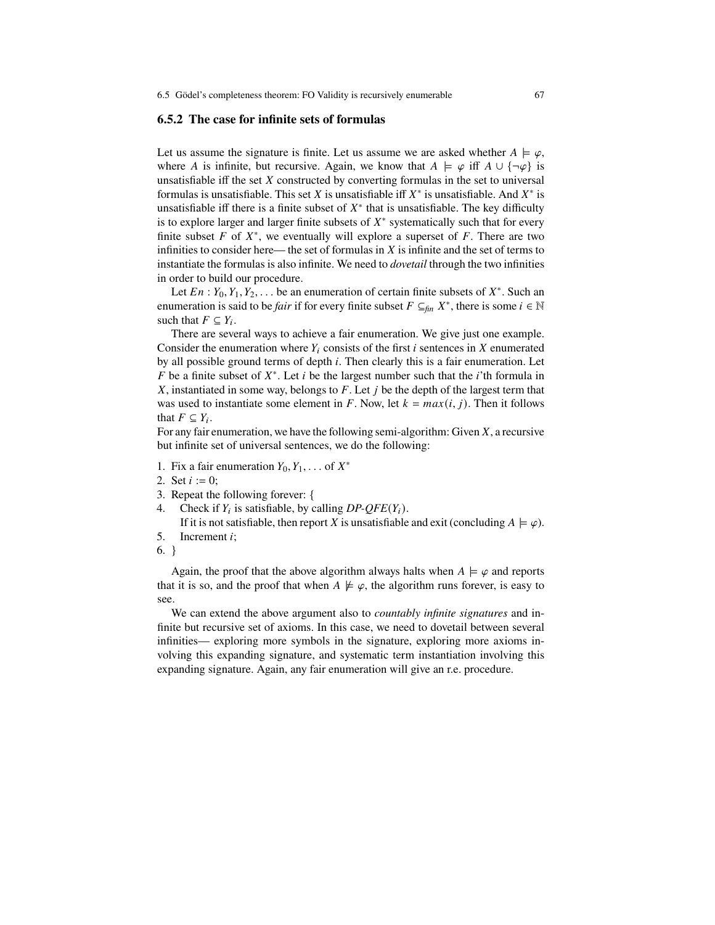## **6.5.2 The case for infinite sets of formulas**

Let us assume the signature is finite. Let us assume we are asked whether  $A \models \varphi$ , where A is infinite, but recursive. Again, we know that  $A \models \varphi$  iff  $A \cup {\neg \varphi}$  is unsatisfiable iff the set  $X$  constructed by converting formulas in the set to universal formulas is unsatisfiable. This set X is unsatisfiable iff  $X^*$  is unsatisfiable. And  $X^*$  is unsatisfiable iff there is a finite subset of  $X^*$  that is unsatisfiable. The key difficulty is to explore larger and larger finite subsets of  $X^*$  systematically such that for every finite subset F of  $X^*$ , we eventually will explore a superset of F. There are two infinities to consider here— the set of formulas in  $X$  is infinite and the set of terms to instantiate the formulas is also infinite. We need to *dovetail* through the two infinities in order to build our procedure.

Let  $En: Y_0, Y_1, Y_2, \ldots$  be an enumeration of certain finite subsets of  $X^*$ . Such an enumeration is said to be *fair* if for every finite subset  $F \subseteq_{fin} X^*$ , there is some  $i \in \mathbb{N}$ such that  $F \subseteq Y_i$ .

There are several ways to achieve a fair enumeration. We give just one example. Consider the enumeration where  $Y_i$  consists of the first i sentences in X enumerated by all possible ground terms of depth  $i$ . Then clearly this is a fair enumeration. Let F be a finite subset of  $X^*$ . Let i be the largest number such that the i'th formula in  $X$ , instantiated in some way, belongs to  $F$ . Let  $\dot{\jmath}$  be the depth of the largest term that was used to instantiate some element in F. Now, let  $k = max(i, j)$ . Then it follows that  $F \subseteq Y_i$ .

For any fair enumeration, we have the following semi-algorithm: Given  $X$ , a recursive but infinite set of universal sentences, we do the following:

- 1. Fix a fair enumeration  $Y_0, Y_1, \ldots$  of  $X^*$
- 2. Set  $i := 0$ ;
- 3. Repeat the following forever:  $\{4, \text{Check if } Y_i \text{ is satisfiable, by } c\}$
- Check if  $Y_i$  is satisfiable, by calling  $DP\text{-}OFE(Y_i)$ .

If it is not satisfiable, then report X is unsatisfiable and exit (concluding  $A \models \varphi$ ). 5. Increment  $i$ ;

6. }

Again, the proof that the above algorithm always halts when  $A \models \varphi$  and reports that it is so, and the proof that when  $A \not\models \varphi$ , the algorithm runs forever, is easy to see.

We can extend the above argument also to *countably infinite signatures* and infinite but recursive set of axioms. In this case, we need to dovetail between several infinities— exploring more symbols in the signature, exploring more axioms involving this expanding signature, and systematic term instantiation involving this expanding signature. Again, any fair enumeration will give an r.e. procedure.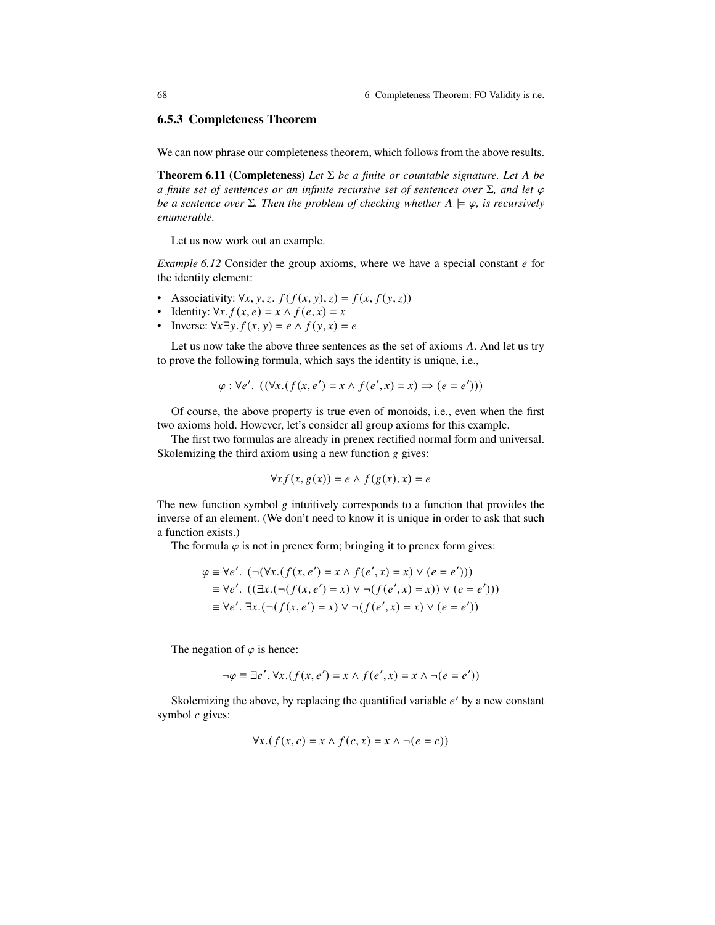68 6 Completeness Theorem: FO Validity is r.e.

## **6.5.3 Completeness Theorem**

We can now phrase our completeness theorem, which follows from the above results.

**Theorem 6.11 (Completeness)** Let  $\Sigma$  be a finite or countable signature. Let A be *a finite set of sentences or an infinite recursive set of sentences over*  $\Sigma$ *, and let*  $\varphi$ *be a sentence over*  $\Sigma$ *. Then the problem of checking whether*  $A \models \varphi$ *, is recursively enumerable.*

Let us now work out an example.

*Example 6.12* Consider the group axioms, where we have a special constant  $e$  for the identity element:

- Associativity:  $\forall x, y, z$ ,  $f(f(x, y), z) = f(x, f(y, z))$
- Identity:  $\forall x. f(x, e) = x \land f(e, x) = x$
- Inverse:  $\forall x \exists y. f(x, y) = e \land f(y, x) = e$

Let us now take the above three sentences as the set of axioms  $A$ . And let us try to prove the following formula, which says the identity is unique, i.e.,

$$
\varphi : \forall e' . \ ((\forall x . (f(x, e') = x \land f(e', x) = x) \Rightarrow (e = e')))
$$

Of course, the above property is true even of monoids, i.e., even when the first two axioms hold. However, let's consider all group axioms for this example.

The first two formulas are already in prenex rectified normal form and universal. Skolemizing the third axiom using a new function  $g$  gives:

$$
\forall x f(x, g(x)) = e \land f(g(x), x) = e
$$

The new function symbol  $g$  intuitively corresponds to a function that provides the inverse of an element. (We don't need to know it is unique in order to ask that such a function exists.)

The formula  $\varphi$  is not in prenex form; bringing it to prenex form gives:

$$
\varphi \equiv \forall e'. \ (\neg(\forall x. (f(x, e') = x \land f(e', x) = x) \lor (e = e'))\n\n\equiv \forall e'. \ ((\exists x. (\neg(f(x, e') = x) \lor \neg(f(e', x) = x)) \lor (e = e'))\n\n\equiv \forall e'. \exists x. (\neg(f(x, e') = x) \lor \neg(f(e', x) = x) \lor (e = e'))
$$

The negation of  $\varphi$  is hence:

$$
\neg \varphi \equiv \exists e'. \ \forall x. (f(x, e') = x \land f(e', x) = x \land \neg(e = e'))
$$

Skolemizing the above, by replacing the quantified variable  $e'$  by a new constant symbol  $c$  gives:

$$
\forall x. (f(x, c) = x \land f(c, x) = x \land \neg(e = c))
$$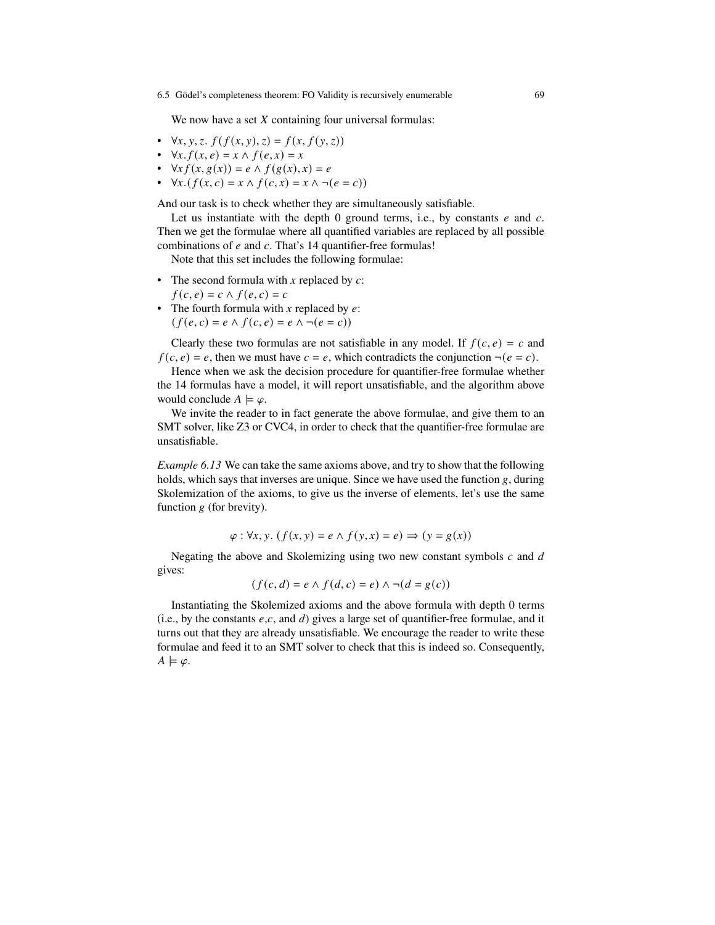#### 6.5 Gödel's completeness theorem: FO Validity is recursively enumerable 69

We now have a set  $X$  containing four universal formulas:

- $\forall x, y, z. f(f(x, y), z) = f(x, f(y, z))$
- $\forall x. f(x, e) = x \land f(e, x) = x$
- $\forall x f(x, g(x)) = e \land f(g(x), x) = e$
- $\forall x. (f(x, c) = x \land f(c, x) = x \land \neg(e = c))$

And our task is to check whether they are simultaneously satisfiable.

Let us instantiate with the depth 0 ground terms, i.e., by constants  $e$  and  $c$ . Then we get the formulae where all quantified variables are replaced by all possible combinations of  $e$  and  $c$ . That's 14 quantifier-free formulas!

Note that this set includes the following formulae:

- The second formula with x replaced by  $c$ :
	- $f(c, e) = c \wedge f(e, c) = c$
- The fourth formula with x replaced by  $e$ :  $(f(e, c) = e \land f(c, e) = e \land \neg(e = c))$

Clearly these two formulas are not satisfiable in any model. If  $f(c, e) = c$  and  $f(c, e) = e$ , then we must have  $c = e$ , which contradicts the conjunction  $\neg(e = c)$ .

Hence when we ask the decision procedure for quantifier-free formulae whether the 14 formulas have a model, it will report unsatisfiable, and the algorithm above would conclude  $A \models \varphi$ .

We invite the reader to in fact generate the above formulae, and give them to an SMT solver, like Z3 or CVC4, in order to check that the quantifier-free formulae are unsatisfiable.

*Example 6.13* We can take the same axioms above, and try to show that the following holds, which says that inverses are unique. Since we have used the function  $g$ , during Skolemization of the axioms, to give us the inverse of elements, let's use the same function  $g$  (for brevity).

$$
\varphi: \forall x, y. (f(x, y) = e \land f(y, x) = e) \Rightarrow (y = g(x))
$$

Negating the above and Skolemizing using two new constant symbols  $c$  and  $d$ gives:

$$
(f(c,d) = e \land f(d,c) = e) \land \neg(d = g(c))
$$

Instantiating the Skolemized axioms and the above formula with depth 0 terms (i.e., by the constants  $e, c$ , and d) gives a large set of quantifier-free formulae, and it turns out that they are already unsatisfiable. We encourage the reader to write these formulae and feed it to an SMT solver to check that this is indeed so. Consequently,  $A \models \varphi$ .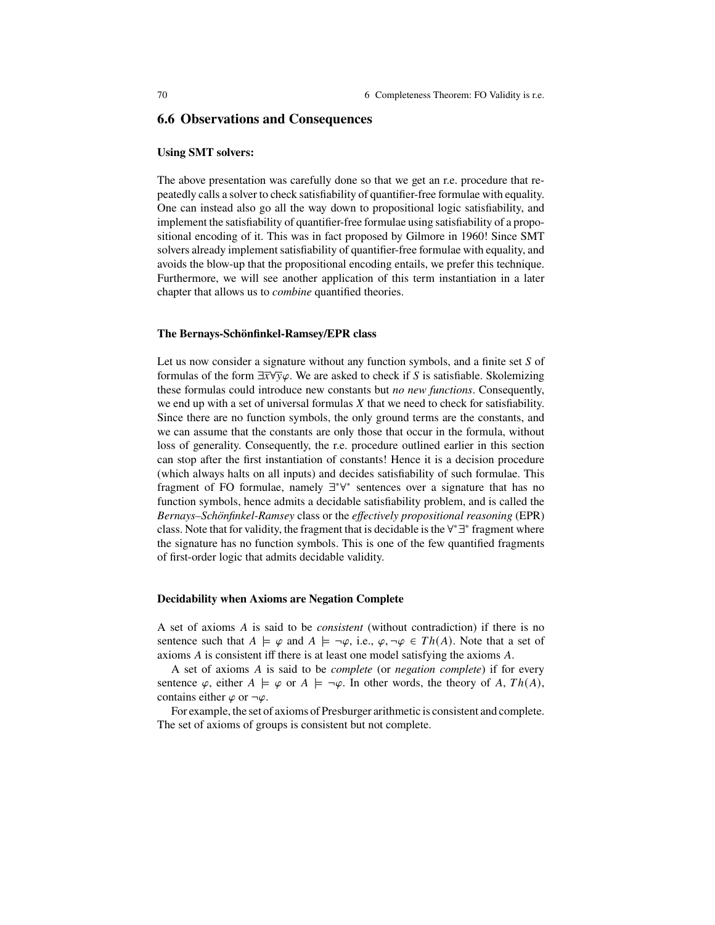## **6.6 Observations and Consequences**

## **Using SMT solvers:**

The above presentation was carefully done so that we get an r.e. procedure that repeatedly calls a solver to check satisfiability of quantifier-free formulae with equality. One can instead also go all the way down to propositional logic satisfiability, and implement the satisfiability of quantifier-free formulae using satisfiability of a propositional encoding of it. This was in fact proposed by Gilmore in 1960! Since SMT solvers already implement satisfiability of quantifier-free formulae with equality, and avoids the blow-up that the propositional encoding entails, we prefer this technique. Furthermore, we will see another application of this term instantiation in a later chapter that allows us to *combine* quantified theories.

#### **The Bernays-Schönfinkel-Ramsey/EPR class**

Let us now consider a signature without any function symbols, and a finite set  $S$  of formulas of the form  $\exists \overline{x} \forall \overline{y} \varphi$ . We are asked to check if S is satisfiable. Skolemizing these formulas could introduce new constants but *no new functions*. Consequently, we end up with a set of universal formulas  $X$  that we need to check for satisfiability. Since there are no function symbols, the only ground terms are the constants, and we can assume that the constants are only those that occur in the formula, without loss of generality. Consequently, the r.e. procedure outlined earlier in this section can stop after the first instantiation of constants! Hence it is a decision procedure (which always halts on all inputs) and decides satisfiability of such formulae. This fragment of FO formulae, namely  $\exists^*\forall^*$  sentences over a signature that has no function symbols, hence admits a decidable satisfiability problem, and is called the *Bernays–Schönfinkel-Ramsey* class or the *eectively propositional reasoning* (EPR) class. Note that for validity, the fragment that is decidable is the  $\forall^* \exists^*$  fragment where the signature has no function symbols. This is one of the few quantified fragments of first-order logic that admits decidable validity.

#### **Decidability when Axioms are Negation Complete**

A set of axioms A is said to be *consistent* (without contradiction) if there is no sentence such that  $A \models \varphi$  and  $A \models \neg \varphi$ , i.e.,  $\varphi, \neg \varphi \in Th(A)$ . Note that a set of axioms  $A$  is consistent iff there is at least one model satisfying the axioms  $A$ .

A set of axioms A is said to be *complete* (or *negation complete*) if for every sentence  $\varphi$ , either  $A \models \varphi$  or  $A \models \neg \varphi$ . In other words, the theory of A,  $Th(A)$ , contains either  $\varphi$  or  $\neg \varphi$ .

For example, the set of axioms of Presburger arithmetic is consistent and complete. The set of axioms of groups is consistent but not complete.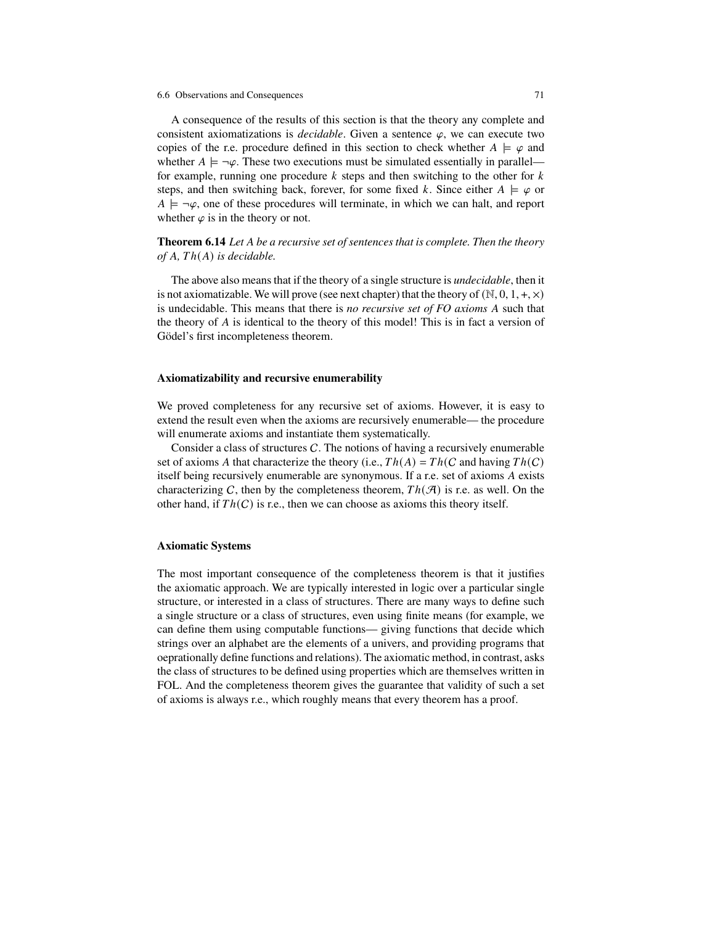A consequence of the results of this section is that the theory any complete and consistent axiomatizations is *decidable*. Given a sentence  $\varphi$ , we can execute two copies of the r.e. procedure defined in this section to check whether  $A \models \varphi$  and whether  $A \models \neg \varphi$ . These two executions must be simulated essentially in parallel for example, running one procedure  $k$  steps and then switching to the other for  $k$ steps, and then switching back, forever, for some fixed k. Since either  $A \models \varphi$  or  $A \models \neg \varphi$ , one of these procedures will terminate, in which we can halt, and report whether  $\varphi$  is in the theory or not.

**Theorem 6.14** *Let be a recursive set of sentences that is complete. Then the theory*  $of A, Th(A)$  *is decidable.* 

The above also means that if the theory of a single structure is *undecidable*, then it is not axiomatizable. We will prove (see next chapter) that the theory of  $(N, 0, 1, +, \times)$ is undecidable. This means that there is *no recursive set of FO axioms A* such that the theory of  $A$  is identical to the theory of this model! This is in fact a version of Gödel's first incompleteness theorem.

#### **Axiomatizability and recursive enumerability**

We proved completeness for any recursive set of axioms. However, it is easy to extend the result even when the axioms are recursively enumerable— the procedure will enumerate axioms and instantiate them systematically.

Consider a class of structures  $C$ . The notions of having a recursively enumerable set of axioms A that characterize the theory (i.e.,  $Th(A) = Th(C \text{ and having } Th(C)$ ) itself being recursively enumerable are synonymous. If a r.e. set of axioms A exists characterizing C, then by the completeness theorem,  $Th(\mathcal{A})$  is r.e. as well. On the other hand, if  $Th(C)$  is r.e., then we can choose as axioms this theory itself.

## **Axiomatic Systems**

The most important consequence of the completeness theorem is that it justifies the axiomatic approach. We are typically interested in logic over a particular single structure, or interested in a class of structures. There are many ways to define such a single structure or a class of structures, even using finite means (for example, we can define them using computable functions— giving functions that decide which strings over an alphabet are the elements of a univers, and providing programs that oeprationally define functions and relations). The axiomatic method, in contrast, asks the class of structures to be defined using properties which are themselves written in FOL. And the completeness theorem gives the guarantee that validity of such a set of axioms is always r.e., which roughly means that every theorem has a proof.